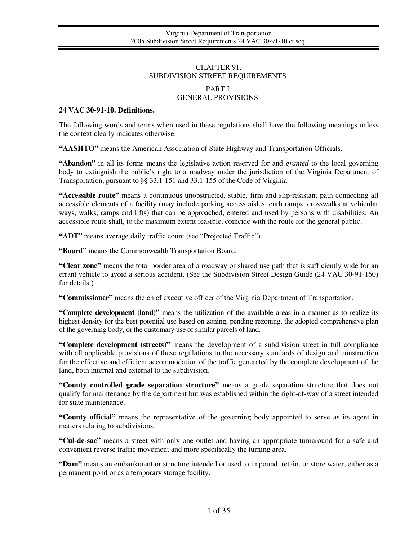## CHAPTER 91. SUBDIVISION STREET REQUIREMENTS.

# PART I. GENERAL PROVISIONS.

### **24 VAC 30-91-10. Definitions.**

The following words and terms when used in these regulations shall have the following meanings unless the context clearly indicates otherwise:

**"AASHTO"** means the American Association of State Highway and Transportation Officials.

**"Abandon"** in all its forms means the legislative action reserved for and *granted* to the local governing body to extinguish the public's right to a roadway under the jurisdiction of the Virginia Department of Transportation, pursuant to §§ 33.1-151 and 33.1-155 of the Code of Virginia.

**"Accessible route"** means a continuous unobstructed, stable, firm and slip-resistant path connecting all accessible elements of a facility (may include parking access aisles, curb ramps, crosswalks at vehicular ways, walks, ramps and lifts) that can be approached, entered and used by persons with disabilities. An accessible route shall, to the maximum extent feasible, coincide with the route for the general public.

**"ADT"** means average daily traffic count (see "Projected Traffic").

**"Board"** means the Commonwealth Transportation Board.

**"Clear zone"** means the total border area of a roadway or shared use path that is sufficiently wide for an errant vehicle to avoid a serious accident. (See the Subdivision Street Design Guide (24 VAC 30-91-160) for details.)

**"Commissioner"** means the chief executive officer of the Virginia Department of Transportation.

**"Complete development (land)"** means the utilization of the available areas in a manner as to realize its highest density for the best potential use based on zoning, pending rezoning, the adopted comprehensive plan of the governing body, or the customary use of similar parcels of land.

**"Complete development (streets)"** means the development of a subdivision street in full compliance with all applicable provisions of these regulations to the necessary standards of design and construction for the effective and efficient accommodation of the traffic generated by the complete development of the land, both internal and external to the subdivision.

**"County controlled grade separation structure"** means a grade separation structure that does not qualify for maintenance by the department but was established within the right-of-way of a street intended for state maintenance.

**"County official"** means the representative of the governing body appointed to serve as its agent in matters relating to subdivisions.

**"Cul-de-sac"** means a street with only one outlet and having an appropriate turnaround for a safe and convenient reverse traffic movement and more specifically the turning area.

**"Dam"** means an embankment or structure intended or used to impound, retain, or store water, either as a permanent pond or as a temporary storage facility.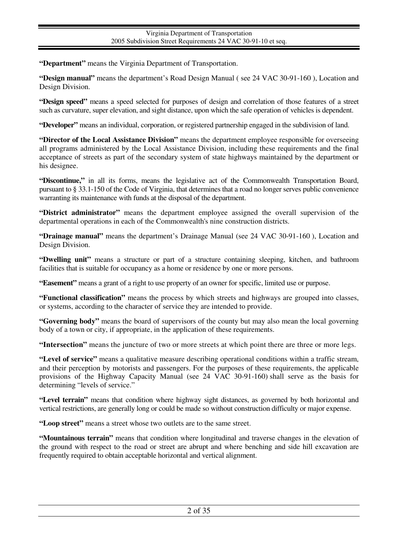**"Department"** means the Virginia Department of Transportation.

**"Design manual"** means the department's Road Design Manual ( see 24 VAC 30-91-160 ), Location and Design Division.

**"Design speed"** means a speed selected for purposes of design and correlation of those features of a street such as curvature, super elevation, and sight distance, upon which the safe operation of vehicles is dependent.

**"Developer"** means an individual, corporation, or registered partnership engaged in the subdivision of land.

**"Director of the Local Assistance Division"** means the department employee responsible for overseeing all programs administered by the Local Assistance Division, including these requirements and the final acceptance of streets as part of the secondary system of state highways maintained by the department or his designee.

**"Discontinue,"** in all its forms, means the legislative act of the Commonwealth Transportation Board, pursuant to § 33.1-150 of the Code of Virginia, that determines that a road no longer serves public convenience warranting its maintenance with funds at the disposal of the department.

**"District administrator"** means the department employee assigned the overall supervision of the departmental operations in each of the Commonwealth's nine construction districts.

**"Drainage manual"** means the department's Drainage Manual (see 24 VAC 30-91-160 ), Location and Design Division.

**"Dwelling unit"** means a structure or part of a structure containing sleeping, kitchen, and bathroom facilities that is suitable for occupancy as a home or residence by one or more persons.

**"Easement"** means a grant of a right to use property of an owner for specific, limited use or purpose.

**"Functional classification"** means the process by which streets and highways are grouped into classes, or systems, according to the character of service they are intended to provide.

**"Governing body"** means the board of supervisors of the county but may also mean the local governing body of a town or city, if appropriate, in the application of these requirements.

**"Intersection"** means the juncture of two or more streets at which point there are three or more legs.

**"Level of service"** means a qualitative measure describing operational conditions within a traffic stream, and their perception by motorists and passengers. For the purposes of these requirements, the applicable provisions of the Highway Capacity Manual (see 24 VAC 30-91-160) shall serve as the basis for determining "levels of service."

**"Level terrain"** means that condition where highway sight distances, as governed by both horizontal and vertical restrictions, are generally long or could be made so without construction difficulty or major expense.

**"Loop street"** means a street whose two outlets are to the same street.

**"Mountainous terrain"** means that condition where longitudinal and traverse changes in the elevation of the ground with respect to the road or street are abrupt and where benching and side hill excavation are frequently required to obtain acceptable horizontal and vertical alignment.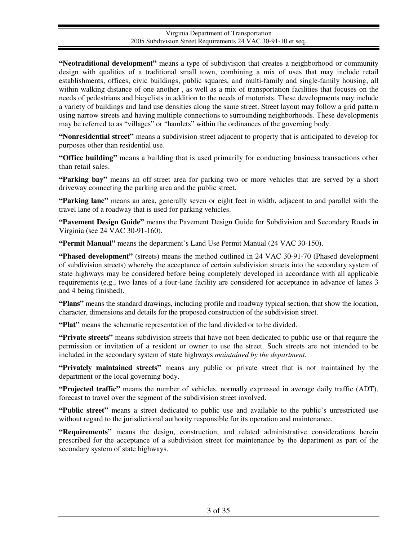**"Neotraditional development"** means a type of subdivision that creates a neighborhood or community design with qualities of a traditional small town, combining a mix of uses that may include retail establishments, offices, civic buildings, public squares, and multi-family and single-family housing, all within walking distance of one another , as well as a mix of transportation facilities that focuses on the needs of pedestrians and bicyclists in addition to the needs of motorists. These developments may include a variety of buildings and land use densities along the same street. Street layout may follow a grid pattern using narrow streets and having multiple connections to surrounding neighborhoods. These developments may be referred to as "villages" or "hamlets" within the ordinances of the governing body.

**"Nonresidential street"** means a subdivision street adjacent to property that is anticipated to develop for purposes other than residential use.

**"Office building"** means a building that is used primarily for conducting business transactions other than retail sales.

**"Parking bay"** means an off-street area for parking two or more vehicles that are served by a short driveway connecting the parking area and the public street.

**"Parking lane"** means an area, generally seven or eight feet in width, adjacent to and parallel with the travel lane of a roadway that is used for parking vehicles.

**"Pavement Design Guide"** means the Pavement Design Guide for Subdivision and Secondary Roads in Virginia (see 24 VAC 30-91-160).

**"Permit Manual"** means the department's Land Use Permit Manual (24 VAC 30-150).

**"Phased development"** (streets) means the method outlined in 24 VAC 30-91-70 (Phased development of subdivision streets) whereby the acceptance of certain subdivision streets into the secondary system of state highways may be considered before being completely developed in accordance with all applicable requirements (e.g., two lanes of a four-lane facility are considered for acceptance in advance of lanes 3 and 4 being finished).

**"Plans"** means the standard drawings, including profile and roadway typical section, that show the location, character, dimensions and details for the proposed construction of the subdivision street.

**"Plat"** means the schematic representation of the land divided or to be divided.

**"Private streets"** means subdivision streets that have not been dedicated to public use or that require the permission or invitation of a resident or owner to use the street. Such streets are not intended to be included in the secondary system of state highways *maintained by the department*.

**"Privately maintained streets"** means any public or private street that is not maintained by the department or the local governing body.

**"Projected traffic"** means the number of vehicles, normally expressed in average daily traffic (ADT), forecast to travel over the segment of the subdivision street involved.

**"Public street"** means a street dedicated to public use and available to the public's unrestricted use without regard to the jurisdictional authority responsible for its operation and maintenance.

**"Requirements"** means the design, construction, and related administrative considerations herein prescribed for the acceptance of a subdivision street for maintenance by the department as part of the secondary system of state highways.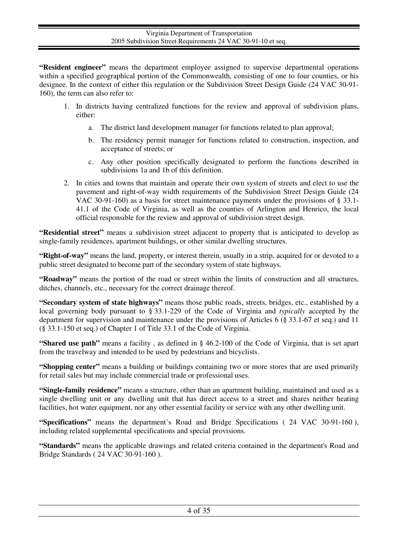**"Resident engineer"** means the department employee assigned to supervise departmental operations within a specified geographical portion of the Commonwealth, consisting of one to four counties, or his designee. In the context of either this regulation or the Subdivision Street Design Guide (24 VAC 30-91- 160), the term can also refer to:

- 1. In districts having centralized functions for the review and approval of subdivision plans, either:
	- a. The district land development manager for functions related to plan approval;
	- b. The residency permit manager for functions related to construction, inspection, and acceptance of streets; or
	- c. Any other position specifically designated to perform the functions described in subdivisions 1a and 1b of this definition.
- 2. In cities and towns that maintain and operate their own system of streets and elect to use the pavement and right-of-way width requirements of the Subdivision Street Design Guide (24 VAC 30-91-160) as a basis for street maintenance payments under the provisions of § 33.1- 41.1 of the Code of Virginia, as well as the counties of Arlington and Henrico, the local official responsible for the review and approval of subdivision street design.

**"Residential street"** means a subdivision street adjacent to property that is anticipated to develop as single-family residences, apartment buildings, or other similar dwelling structures.

**"Right-of-way"** means the land, property, or interest therein, usually in a strip, acquired for or devoted to a public street designated to become part of the secondary system of state highways.

**"Roadway"** means the portion of the road or street within the limits of construction and all structures, ditches, channels, etc., necessary for the correct drainage thereof.

**"Secondary system of state highways"** means those public roads, streets, bridges, etc., established by a local governing body pursuant to § 33.1-229 of the Code of Virginia and *typically* accepted by the department for supervision and maintenance under the provisions of Articles 6 (§ 33.1-67 et seq.) and 11 (§ 33.1-150 et seq.) of Chapter 1 of Title 33.1 of the Code of Virginia.

**"Shared use path"** means a facility , as defined in § 46.2-100 of the Code of Virginia, that is set apart from the travelway and intended to be used by pedestrians and bicyclists.

**"Shopping center"** means a building or buildings containing two or more stores that are used primarily for retail sales but may include commercial trade or professional uses.

**"Single-family residence"** means a structure, other than an apartment building, maintained and used as a single dwelling unit or any dwelling unit that has direct access to a street and shares neither heating facilities, hot water equipment, nor any other essential facility or service with any other dwelling unit.

**"Specifications"** means the department's Road and Bridge Specifications ( 24 VAC 30-91-160 ), including related supplemental specifications and special provisions.

**"Standards"** means the applicable drawings and related criteria contained in the department's Road and Bridge Standards ( 24 VAC 30-91-160 ).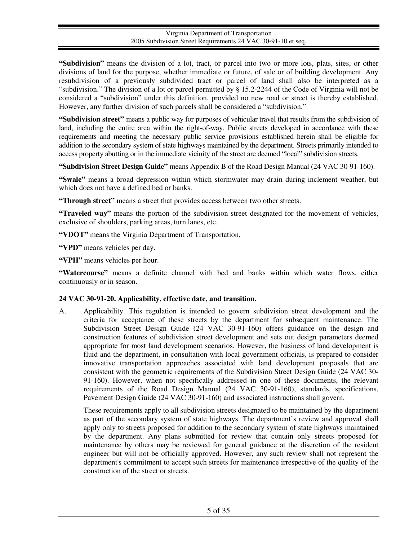**"Subdivision"** means the division of a lot, tract, or parcel into two or more lots, plats, sites, or other divisions of land for the purpose, whether immediate or future, of sale or of building development. Any resubdivision of a previously subdivided tract or parcel of land shall also be interpreted as a "subdivision." The division of a lot or parcel permitted by § 15.2-2244 of the Code of Virginia will not be considered a "subdivision" under this definition, provided no new road or street is thereby established. However, any further division of such parcels shall be considered a "subdivision."

**"Subdivision street"** means a public way for purposes of vehicular travel that results from the subdivision of land, including the entire area within the right-of-way. Public streets developed in accordance with these requirements and meeting the necessary public service provisions established herein shall be eligible for addition to the secondary system of state highways maintained by the department. Streets primarily intended to access property abutting or in the immediate vicinity of the street are deemed "local" subdivision streets.

**"Subdivision Street Design Guide"** means Appendix B of the Road Design Manual (24 VAC 30-91-160).

**"Swale"** means a broad depression within which stormwater may drain during inclement weather, but which does not have a defined bed or banks.

**"Through street"** means a street that provides access between two other streets.

**"Traveled way"** means the portion of the subdivision street designated for the movement of vehicles, exclusive of shoulders, parking areas, turn lanes, etc.

**"VDOT"** means the Virginia Department of Transportation.

**"VPD"** means vehicles per day.

**"VPH"** means vehicles per hour.

**"Watercourse"** means a definite channel with bed and banks within which water flows, either continuously or in season.

# **24 VAC 30-91-20. Applicability, effective date, and transition.**

A. Applicability. This regulation is intended to govern subdivision street development and the criteria for acceptance of these streets by the department for subsequent maintenance. The Subdivision Street Design Guide (24 VAC 30-91-160) offers guidance on the design and construction features of subdivision street development and sets out design parameters deemed appropriate for most land development scenarios. However, the business of land development is fluid and the department, in consultation with local government officials, is prepared to consider innovative transportation approaches associated with land development proposals that are consistent with the geometric requirements of the Subdivision Street Design Guide (24 VAC 30- 91-160). However, when not specifically addressed in one of these documents, the relevant requirements of the Road Design Manual (24 VAC 30-91-160), standards, specifications, Pavement Design Guide (24 VAC 30-91-160) and associated instructions shall govern.

These requirements apply to all subdivision streets designated to be maintained by the department as part of the secondary system of state highways. The department's review and approval shall apply only to streets proposed for addition to the secondary system of state highways maintained by the department. Any plans submitted for review that contain only streets proposed for maintenance by others may be reviewed for general guidance at the discretion of the resident engineer but will not be officially approved. However, any such review shall not represent the department's commitment to accept such streets for maintenance irrespective of the quality of the construction of the street or streets.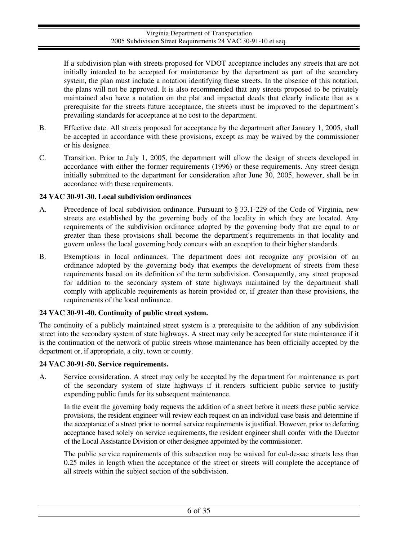If a subdivision plan with streets proposed for VDOT acceptance includes any streets that are not initially intended to be accepted for maintenance by the department as part of the secondary system, the plan must include a notation identifying these streets. In the absence of this notation, the plans will not be approved. It is also recommended that any streets proposed to be privately maintained also have a notation on the plat and impacted deeds that clearly indicate that as a prerequisite for the streets future acceptance, the streets must be improved to the department's prevailing standards for acceptance at no cost to the department.

- B. Effective date. All streets proposed for acceptance by the department after January 1, 2005, shall be accepted in accordance with these provisions, except as may be waived by the commissioner or his designee.
- C. Transition. Prior to July 1, 2005, the department will allow the design of streets developed in accordance with either the former requirements (1996) or these requirements. Any street design initially submitted to the department for consideration after June 30, 2005, however, shall be in accordance with these requirements.

# **24 VAC 30-91-30. Local subdivision ordinances**

- A. Precedence of local subdivision ordinance. Pursuant to § 33.1-229 of the Code of Virginia, new streets are established by the governing body of the locality in which they are located. Any requirements of the subdivision ordinance adopted by the governing body that are equal to or greater than these provisions shall become the department's requirements in that locality and govern unless the local governing body concurs with an exception to their higher standards.
- B. Exemptions in local ordinances. The department does not recognize any provision of an ordinance adopted by the governing body that exempts the development of streets from these requirements based on its definition of the term subdivision. Consequently, any street proposed for addition to the secondary system of state highways maintained by the department shall comply with applicable requirements as herein provided or, if greater than these provisions, the requirements of the local ordinance.

# **24 VAC 30-91-40. Continuity of public street system.**

The continuity of a publicly maintained street system is a prerequisite to the addition of any subdivision street into the secondary system of state highways. A street may only be accepted for state maintenance if it is the continuation of the network of public streets whose maintenance has been officially accepted by the department or, if appropriate, a city, town or county.

# **24 VAC 30-91-50. Service requirements.**

A. Service consideration. A street may only be accepted by the department for maintenance as part of the secondary system of state highways if it renders sufficient public service to justify expending public funds for its subsequent maintenance.

In the event the governing body requests the addition of a street before it meets these public service provisions, the resident engineer will review each request on an individual case basis and determine if the acceptance of a street prior to normal service requirements is justified. However, prior to deferring acceptance based solely on service requirements, the resident engineer shall confer with the Director of the Local Assistance Division or other designee appointed by the commissioner.

The public service requirements of this subsection may be waived for cul-de-sac streets less than 0.25 miles in length when the acceptance of the street or streets will complete the acceptance of all streets within the subject section of the subdivision.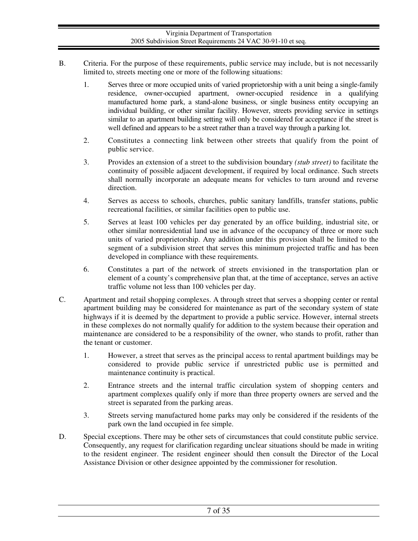- B. Criteria. For the purpose of these requirements, public service may include, but is not necessarily limited to, streets meeting one or more of the following situations:
	- 1. Serves three or more occupied units of varied proprietorship with a unit being a single-family residence, owner-occupied apartment, owner-occupied residence in a qualifying manufactured home park, a stand-alone business, or single business entity occupying an individual building, or other similar facility. However, streets providing service in settings similar to an apartment building setting will only be considered for acceptance if the street is well defined and appears to be a street rather than a travel way through a parking lot.
	- 2. Constitutes a connecting link between other streets that qualify from the point of public service.
	- 3. Provides an extension of a street to the subdivision boundary *(stub street)* to facilitate the continuity of possible adjacent development, if required by local ordinance. Such streets shall normally incorporate an adequate means for vehicles to turn around and reverse direction.
	- 4. Serves as access to schools, churches, public sanitary landfills, transfer stations, public recreational facilities, or similar facilities open to public use.
	- 5. Serves at least 100 vehicles per day generated by an office building, industrial site, or other similar nonresidential land use in advance of the occupancy of three or more such units of varied proprietorship. Any addition under this provision shall be limited to the segment of a subdivision street that serves this minimum projected traffic and has been developed in compliance with these requirements.
	- 6. Constitutes a part of the network of streets envisioned in the transportation plan or element of a county's comprehensive plan that, at the time of acceptance, serves an active traffic volume not less than 100 vehicles per day.
- C. Apartment and retail shopping complexes. A through street that serves a shopping center or rental apartment building may be considered for maintenance as part of the secondary system of state highways if it is deemed by the department to provide a public service. However, internal streets in these complexes do not normally qualify for addition to the system because their operation and maintenance are considered to be a responsibility of the owner, who stands to profit, rather than the tenant or customer.
	- 1. However, a street that serves as the principal access to rental apartment buildings may be considered to provide public service if unrestricted public use is permitted and maintenance continuity is practical.
	- 2. Entrance streets and the internal traffic circulation system of shopping centers and apartment complexes qualify only if more than three property owners are served and the street is separated from the parking areas.
	- 3. Streets serving manufactured home parks may only be considered if the residents of the park own the land occupied in fee simple.
- D. Special exceptions. There may be other sets of circumstances that could constitute public service. Consequently, any request for clarification regarding unclear situations should be made in writing to the resident engineer. The resident engineer should then consult the Director of the Local Assistance Division or other designee appointed by the commissioner for resolution.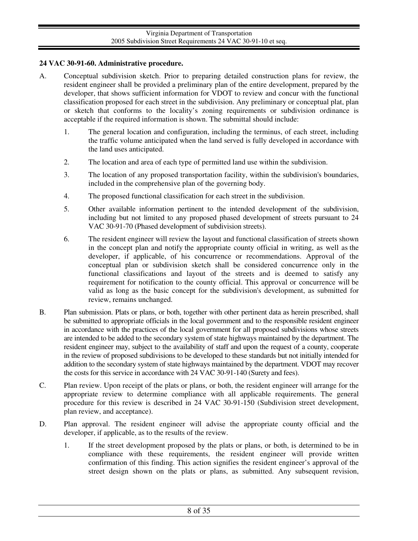## **24 VAC 30-91-60. Administrative procedure.**

- A. Conceptual subdivision sketch. Prior to preparing detailed construction plans for review, the resident engineer shall be provided a preliminary plan of the entire development, prepared by the developer, that shows sufficient information for VDOT to review and concur with the functional classification proposed for each street in the subdivision. Any preliminary or conceptual plat, plan or sketch that conforms to the locality's zoning requirements or subdivision ordinance is acceptable if the required information is shown. The submittal should include:
	- 1. The general location and configuration, including the terminus, of each street, including the traffic volume anticipated when the land served is fully developed in accordance with the land uses anticipated.
	- 2. The location and area of each type of permitted land use within the subdivision.
	- 3. The location of any proposed transportation facility, within the subdivision's boundaries, included in the comprehensive plan of the governing body.
	- 4. The proposed functional classification for each street in the subdivision.
	- 5. Other available information pertinent to the intended development of the subdivision, including but not limited to any proposed phased development of streets pursuant to 24 VAC 30-91-70 (Phased development of subdivision streets).
	- 6. The resident engineer will review the layout and functional classification of streets shown in the concept plan and notify the appropriate county official in writing, as well as the developer, if applicable, of his concurrence or recommendations. Approval of the conceptual plan or subdivision sketch shall be considered concurrence only in the functional classifications and layout of the streets and is deemed to satisfy any requirement for notification to the county official. This approval or concurrence will be valid as long as the basic concept for the subdivision's development, as submitted for review, remains unchanged.
- B. Plan submission. Plats or plans, or both, together with other pertinent data as herein prescribed, shall be submitted to appropriate officials in the local government and to the responsible resident engineer in accordance with the practices of the local government for all proposed subdivisions whose streets are intended to be added to the secondary system of state highways maintained by the department. The resident engineer may, subject to the availability of staff and upon the request of a county, cooperate in the review of proposed subdivisions to be developed to these standards but not initially intended for addition to the secondary system of state highways maintained by the department. VDOT may recover the costs for this service in accordance with 24 VAC 30-91-140 (Surety and fees).
- C. Plan review. Upon receipt of the plats or plans, or both, the resident engineer will arrange for the appropriate review to determine compliance with all applicable requirements. The general procedure for this review is described in 24 VAC 30-91-150 (Subdivision street development, plan review, and acceptance).
- D. Plan approval. The resident engineer will advise the appropriate county official and the developer, if applicable, as to the results of the review.
	- 1. If the street development proposed by the plats or plans, or both, is determined to be in compliance with these requirements, the resident engineer will provide written confirmation of this finding. This action signifies the resident engineer's approval of the street design shown on the plats or plans, as submitted. Any subsequent revision,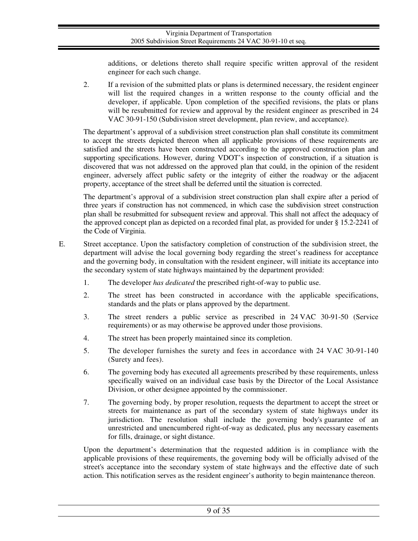additions, or deletions thereto shall require specific written approval of the resident engineer for each such change.

2. If a revision of the submitted plats or plans is determined necessary, the resident engineer will list the required changes in a written response to the county official and the developer, if applicable. Upon completion of the specified revisions, the plats or plans will be resubmitted for review and approval by the resident engineer as prescribed in 24 VAC 30-91-150 (Subdivision street development, plan review, and acceptance).

The department's approval of a subdivision street construction plan shall constitute its commitment to accept the streets depicted thereon when all applicable provisions of these requirements are satisfied and the streets have been constructed according to the approved construction plan and supporting specifications. However, during VDOT's inspection of construction, if a situation is discovered that was not addressed on the approved plan that could, in the opinion of the resident engineer, adversely affect public safety or the integrity of either the roadway or the adjacent property, acceptance of the street shall be deferred until the situation is corrected.

The department's approval of a subdivision street construction plan shall expire after a period of three years if construction has not commenced, in which case the subdivision street construction plan shall be resubmitted for subsequent review and approval. This shall not affect the adequacy of the approved concept plan as depicted on a recorded final plat, as provided for under § 15.2-2241 of the Code of Virginia.

- E. Street acceptance. Upon the satisfactory completion of construction of the subdivision street, the department will advise the local governing body regarding the street's readiness for acceptance and the governing body, in consultation with the resident engineer, will initiate its acceptance into the secondary system of state highways maintained by the department provided:
	- 1. The developer *has dedicated* the prescribed right-of-way to public use.
	- 2. The street has been constructed in accordance with the applicable specifications, standards and the plats or plans approved by the department.
	- 3. The street renders a public service as prescribed in 24 VAC 30-91-50 (Service requirements) or as may otherwise be approved under those provisions.
	- 4. The street has been properly maintained since its completion.
	- 5. The developer furnishes the surety and fees in accordance with 24 VAC 30-91-140 (Surety and fees).
	- 6. The governing body has executed all agreements prescribed by these requirements, unless specifically waived on an individual case basis by the Director of the Local Assistance Division, or other designee appointed by the commissioner.
	- 7. The governing body, by proper resolution, requests the department to accept the street or streets for maintenance as part of the secondary system of state highways under its jurisdiction. The resolution shall include the governing body's guarantee of an unrestricted and unencumbered right-of-way as dedicated, plus any necessary easements for fills, drainage, or sight distance.

Upon the department's determination that the requested addition is in compliance with the applicable provisions of these requirements, the governing body will be officially advised of the street's acceptance into the secondary system of state highways and the effective date of such action. This notification serves as the resident engineer's authority to begin maintenance thereon.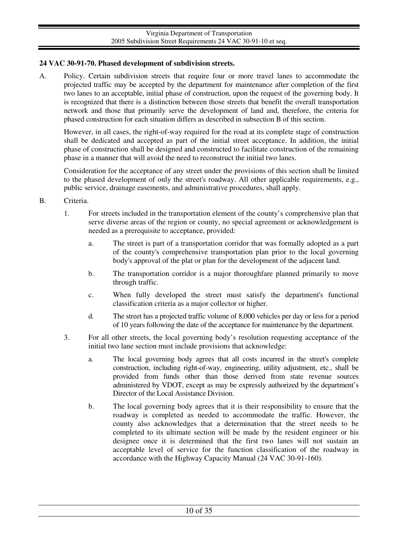### **24 VAC 30-91-70. Phased development of subdivision streets.**

A. Policy. Certain subdivision streets that require four or more travel lanes to accommodate the projected traffic may be accepted by the department for maintenance after completion of the first two lanes to an acceptable, initial phase of construction, upon the request of the governing body. It is recognized that there is a distinction between those streets that benefit the overall transportation network and those that primarily serve the development of land and, therefore, the criteria for phased construction for each situation differs as described in subsection B of this section.

However, in all cases, the right-of-way required for the road at its complete stage of construction shall be dedicated and accepted as part of the initial street acceptance. In addition, the initial phase of construction shall be designed and constructed to facilitate construction of the remaining phase in a manner that will avoid the need to reconstruct the initial two lanes.

Consideration for the acceptance of any street under the provisions of this section shall be limited to the phased development of only the street's roadway. All other applicable requirements, e.g., public service, drainage easements, and administrative procedures, shall apply.

### B. Criteria.

- 1. For streets included in the transportation element of the county's comprehensive plan that serve diverse areas of the region or county, no special agreement or acknowledgement is needed as a prerequisite to acceptance, provided:
	- a. The street is part of a transportation corridor that was formally adopted as a part of the county's comprehensive transportation plan prior to the local governing body's approval of the plat or plan for the development of the adjacent land.
	- b. The transportation corridor is a major thoroughfare planned primarily to move through traffic.
	- c. When fully developed the street must satisfy the department's functional classification criteria as a major collector or higher.
	- d. The street has a projected traffic volume of 8,000 vehicles per day or less for a period of 10 years following the date of the acceptance for maintenance by the department.
- 3. For all other streets, the local governing body's resolution requesting acceptance of the initial two lane section must include provisions that acknowledge:
	- a. The local governing body agrees that all costs incurred in the street's complete construction, including right-of-way, engineering, utility adjustment, etc., shall be provided from funds other than those derived from state revenue sources administered by VDOT, except as may be expressly authorized by the department's Director of the Local Assistance Division.
	- b. The local governing body agrees that it is their responsibility to ensure that the roadway is completed as needed to accommodate the traffic. However, the county also acknowledges that a determination that the street needs to be completed to its ultimate section will be made by the resident engineer or his designee once it is determined that the first two lanes will not sustain an acceptable level of service for the function classification of the roadway in accordance with the Highway Capacity Manual (24 VAC 30-91-160).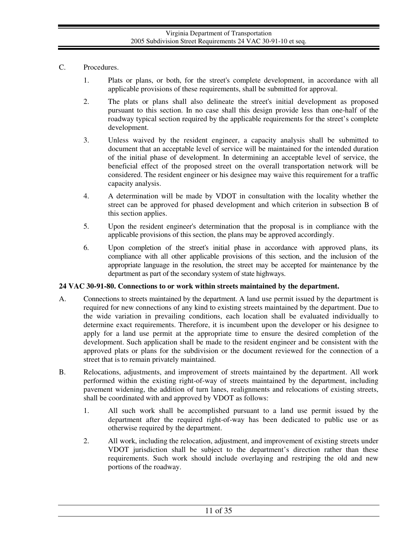- C. Procedures.
	- 1. Plats or plans, or both, for the street's complete development, in accordance with all applicable provisions of these requirements, shall be submitted for approval.
	- 2. The plats or plans shall also delineate the street's initial development as proposed pursuant to this section. In no case shall this design provide less than one-half of the roadway typical section required by the applicable requirements for the street's complete development.
	- 3. Unless waived by the resident engineer, a capacity analysis shall be submitted to document that an acceptable level of service will be maintained for the intended duration of the initial phase of development. In determining an acceptable level of service, the beneficial effect of the proposed street on the overall transportation network will be considered. The resident engineer or his designee may waive this requirement for a traffic capacity analysis.
	- 4. A determination will be made by VDOT in consultation with the locality whether the street can be approved for phased development and which criterion in subsection B of this section applies.
	- 5. Upon the resident engineer's determination that the proposal is in compliance with the applicable provisions of this section, the plans may be approved accordingly.
	- 6. Upon completion of the street's initial phase in accordance with approved plans, its compliance with all other applicable provisions of this section, and the inclusion of the appropriate language in the resolution, the street may be accepted for maintenance by the department as part of the secondary system of state highways.

# **24 VAC 30-91-80. Connections to or work within streets maintained by the department.**

- A. Connections to streets maintained by the department. A land use permit issued by the department is required for new connections of any kind to existing streets maintained by the department. Due to the wide variation in prevailing conditions, each location shall be evaluated individually to determine exact requirements. Therefore, it is incumbent upon the developer or his designee to apply for a land use permit at the appropriate time to ensure the desired completion of the development. Such application shall be made to the resident engineer and be consistent with the approved plats or plans for the subdivision or the document reviewed for the connection of a street that is to remain privately maintained.
- B. Relocations, adjustments, and improvement of streets maintained by the department. All work performed within the existing right-of-way of streets maintained by the department, including pavement widening, the addition of turn lanes, realignments and relocations of existing streets, shall be coordinated with and approved by VDOT as follows:
	- 1. All such work shall be accomplished pursuant to a land use permit issued by the department after the required right-of-way has been dedicated to public use or as otherwise required by the department.
	- 2. All work, including the relocation, adjustment, and improvement of existing streets under VDOT jurisdiction shall be subject to the department's direction rather than these requirements. Such work should include overlaying and restriping the old and new portions of the roadway.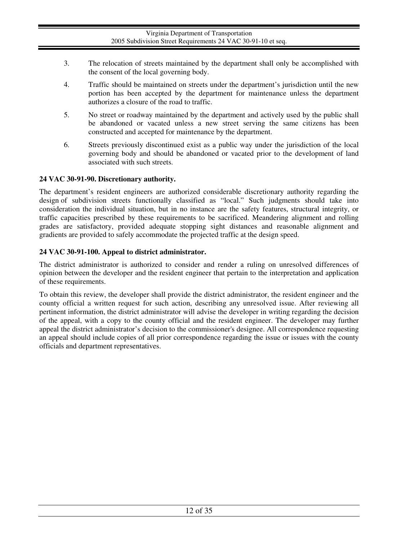- 3. The relocation of streets maintained by the department shall only be accomplished with the consent of the local governing body.
- 4. Traffic should be maintained on streets under the department's jurisdiction until the new portion has been accepted by the department for maintenance unless the department authorizes a closure of the road to traffic.
- 5. No street or roadway maintained by the department and actively used by the public shall be abandoned or vacated unless a new street serving the same citizens has been constructed and accepted for maintenance by the department.
- 6. Streets previously discontinued exist as a public way under the jurisdiction of the local governing body and should be abandoned or vacated prior to the development of land associated with such streets.

# **24 VAC 30-91-90. Discretionary authority.**

The department's resident engineers are authorized considerable discretionary authority regarding the design of subdivision streets functionally classified as "local." Such judgments should take into consideration the individual situation, but in no instance are the safety features, structural integrity, or traffic capacities prescribed by these requirements to be sacrificed. Meandering alignment and rolling grades are satisfactory, provided adequate stopping sight distances and reasonable alignment and gradients are provided to safely accommodate the projected traffic at the design speed.

# **24 VAC 30-91-100. Appeal to district administrator.**

The district administrator is authorized to consider and render a ruling on unresolved differences of opinion between the developer and the resident engineer that pertain to the interpretation and application of these requirements.

To obtain this review, the developer shall provide the district administrator, the resident engineer and the county official a written request for such action, describing any unresolved issue. After reviewing all pertinent information, the district administrator will advise the developer in writing regarding the decision of the appeal, with a copy to the county official and the resident engineer. The developer may further appeal the district administrator's decision to the commissioner's designee. All correspondence requesting an appeal should include copies of all prior correspondence regarding the issue or issues with the county officials and department representatives.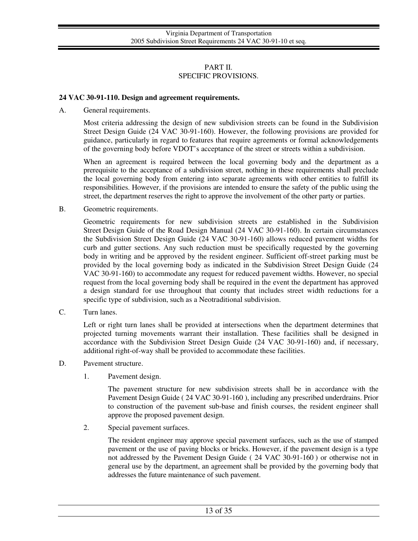### PART II. SPECIFIC PROVISIONS.

### **24 VAC 30-91-110. Design and agreement requirements.**

A. General requirements.

Most criteria addressing the design of new subdivision streets can be found in the Subdivision Street Design Guide (24 VAC 30-91-160). However, the following provisions are provided for guidance, particularly in regard to features that require agreements or formal acknowledgements of the governing body before VDOT's acceptance of the street or streets within a subdivision.

When an agreement is required between the local governing body and the department as a prerequisite to the acceptance of a subdivision street, nothing in these requirements shall preclude the local governing body from entering into separate agreements with other entities to fulfill its responsibilities. However, if the provisions are intended to ensure the safety of the public using the street, the department reserves the right to approve the involvement of the other party or parties.

B. Geometric requirements.

Geometric requirements for new subdivision streets are established in the Subdivision Street Design Guide of the Road Design Manual (24 VAC 30-91-160). In certain circumstances the Subdivision Street Design Guide (24 VAC 30-91-160) allows reduced pavement widths for curb and gutter sections. Any such reduction must be specifically requested by the governing body in writing and be approved by the resident engineer. Sufficient off-street parking must be provided by the local governing body as indicated in the Subdivision Street Design Guide (24 VAC 30-91-160) to accommodate any request for reduced pavement widths. However, no special request from the local governing body shall be required in the event the department has approved a design standard for use throughout that county that includes street width reductions for a specific type of subdivision, such as a Neotraditional subdivision.

C. Turn lanes.

Left or right turn lanes shall be provided at intersections when the department determines that projected turning movements warrant their installation. These facilities shall be designed in accordance with the Subdivision Street Design Guide (24 VAC 30-91-160) and, if necessary, additional right-of-way shall be provided to accommodate these facilities.

- D. Pavement structure.
	- 1. Pavement design.

The pavement structure for new subdivision streets shall be in accordance with the Pavement Design Guide ( 24 VAC 30-91-160 ), including any prescribed underdrains. Prior to construction of the pavement sub-base and finish courses, the resident engineer shall approve the proposed pavement design.

2. Special pavement surfaces.

The resident engineer may approve special pavement surfaces, such as the use of stamped pavement or the use of paving blocks or bricks. However, if the pavement design is a type not addressed by the Pavement Design Guide ( 24 VAC 30-91-160 ) or otherwise not in general use by the department, an agreement shall be provided by the governing body that addresses the future maintenance of such pavement.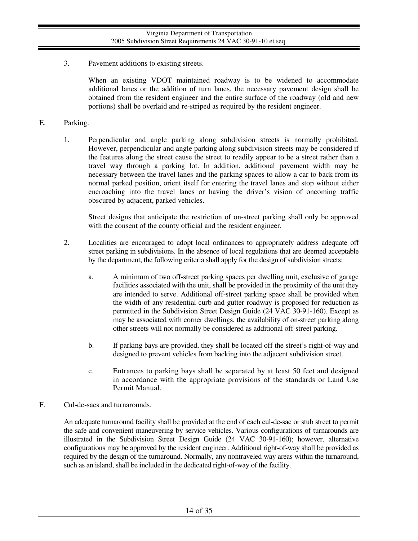3. Pavement additions to existing streets.

When an existing VDOT maintained roadway is to be widened to accommodate additional lanes or the addition of turn lanes, the necessary pavement design shall be obtained from the resident engineer and the entire surface of the roadway (old and new portions) shall be overlaid and re-striped as required by the resident engineer.

### E. Parking.

1. Perpendicular and angle parking along subdivision streets is normally prohibited. However, perpendicular and angle parking along subdivision streets may be considered if the features along the street cause the street to readily appear to be a street rather than a travel way through a parking lot. In addition, additional pavement width may be necessary between the travel lanes and the parking spaces to allow a car to back from its normal parked position, orient itself for entering the travel lanes and stop without either encroaching into the travel lanes or having the driver's vision of oncoming traffic obscured by adjacent, parked vehicles.

Street designs that anticipate the restriction of on-street parking shall only be approved with the consent of the county official and the resident engineer.

- 2. Localities are encouraged to adopt local ordinances to appropriately address adequate off street parking in subdivisions. In the absence of local regulations that are deemed acceptable by the department, the following criteria shall apply for the design of subdivision streets:
	- a. A minimum of two off-street parking spaces per dwelling unit, exclusive of garage facilities associated with the unit, shall be provided in the proximity of the unit they are intended to serve. Additional off-street parking space shall be provided when the width of any residential curb and gutter roadway is proposed for reduction as permitted in the Subdivision Street Design Guide (24 VAC 30-91-160). Except as may be associated with corner dwellings, the availability of on-street parking along other streets will not normally be considered as additional off-street parking.
	- b. If parking bays are provided, they shall be located off the street's right-of-way and designed to prevent vehicles from backing into the adjacent subdivision street.
	- c. Entrances to parking bays shall be separated by at least 50 feet and designed in accordance with the appropriate provisions of the standards or Land Use Permit Manual.
- F. Cul-de-sacs and turnarounds.

An adequate turnaround facility shall be provided at the end of each cul-de-sac or stub street to permit the safe and convenient maneuvering by service vehicles. Various configurations of turnarounds are illustrated in the Subdivision Street Design Guide (24 VAC 30-91-160); however, alternative configurations may be approved by the resident engineer. Additional right-of-way shall be provided as required by the design of the turnaround. Normally, any nontraveled way areas within the turnaround, such as an island, shall be included in the dedicated right-of-way of the facility.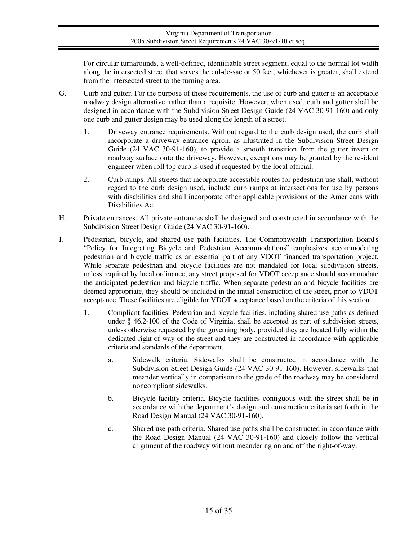For circular turnarounds, a well-defined, identifiable street segment, equal to the normal lot width along the intersected street that serves the cul-de-sac or 50 feet, whichever is greater, shall extend from the intersected street to the turning area.

- G. Curb and gutter. For the purpose of these requirements, the use of curb and gutter is an acceptable roadway design alternative, rather than a requisite. However, when used, curb and gutter shall be designed in accordance with the Subdivision Street Design Guide (24 VAC 30-91-160) and only one curb and gutter design may be used along the length of a street.
	- 1. Driveway entrance requirements. Without regard to the curb design used, the curb shall incorporate a driveway entrance apron, as illustrated in the Subdivision Street Design Guide (24 VAC 30-91-160), to provide a smooth transition from the gutter invert or roadway surface onto the driveway. However, exceptions may be granted by the resident engineer when roll top curb is used if requested by the local official.
	- 2. Curb ramps. All streets that incorporate accessible routes for pedestrian use shall, without regard to the curb design used, include curb ramps at intersections for use by persons with disabilities and shall incorporate other applicable provisions of the Americans with Disabilities Act.
- H. Private entrances. All private entrances shall be designed and constructed in accordance with the Subdivision Street Design Guide (24 VAC 30-91-160).
- I. Pedestrian, bicycle, and shared use path facilities. The Commonwealth Transportation Board's "Policy for Integrating Bicycle and Pedestrian Accommodations" emphasizes accommodating pedestrian and bicycle traffic as an essential part of any VDOT financed transportation project. While separate pedestrian and bicycle facilities are not mandated for local subdivision streets, unless required by local ordinance, any street proposed for VDOT acceptance should accommodate the anticipated pedestrian and bicycle traffic. When separate pedestrian and bicycle facilities are deemed appropriate, they should be included in the initial construction of the street, prior to VDOT acceptance. These facilities are eligible for VDOT acceptance based on the criteria of this section.
	- 1. Compliant facilities. Pedestrian and bicycle facilities, including shared use paths as defined under § 46.2-100 of the Code of Virginia, shall be accepted as part of subdivision streets, unless otherwise requested by the governing body, provided they are located fully within the dedicated right-of-way of the street and they are constructed in accordance with applicable criteria and standards of the department.
		- a. Sidewalk criteria. Sidewalks shall be constructed in accordance with the Subdivision Street Design Guide (24 VAC 30-91-160). However, sidewalks that meander vertically in comparison to the grade of the roadway may be considered noncompliant sidewalks.
		- b. Bicycle facility criteria. Bicycle facilities contiguous with the street shall be in accordance with the department's design and construction criteria set forth in the Road Design Manual (24 VAC 30-91-160).
		- c. Shared use path criteria. Shared use paths shall be constructed in accordance with the Road Design Manual (24 VAC 30-91-160) and closely follow the vertical alignment of the roadway without meandering on and off the right-of-way.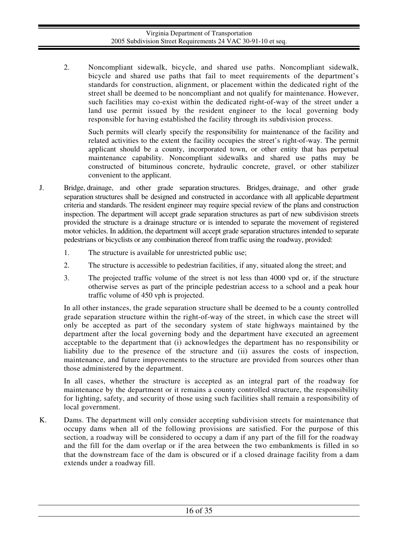2. Noncompliant sidewalk, bicycle, and shared use paths. Noncompliant sidewalk, bicycle and shared use paths that fail to meet requirements of the department's standards for construction, alignment, or placement within the dedicated right of the street shall be deemed to be noncompliant and not qualify for maintenance. However, such facilities may co-exist within the dedicated right-of-way of the street under a land use permit issued by the resident engineer to the local governing body responsible for having established the facility through its subdivision process.

Such permits will clearly specify the responsibility for maintenance of the facility and related activities to the extent the facility occupies the street's right-of-way. The permit applicant should be a county, incorporated town, or other entity that has perpetual maintenance capability. Noncompliant sidewalks and shared use paths may be constructed of bituminous concrete, hydraulic concrete, gravel, or other stabilizer convenient to the applicant.

- J. Bridge, drainage, and other grade separation structures. Bridges, drainage, and other grade separation structures shall be designed and constructed in accordance with all applicable department criteria and standards. The resident engineer may require special review of the plans and construction inspection. The department will accept grade separation structures as part of new subdivision streets provided the structure is a drainage structure or is intended to separate the movement of registered motor vehicles. In addition, the department will accept grade separation structures intended to separate pedestrians or bicyclists or any combination thereof from traffic using the roadway, provided:
	- 1. The structure is available for unrestricted public use;
	- 2. The structure is accessible to pedestrian facilities, if any, situated along the street; and
	- 3. The projected traffic volume of the street is not less than 4000 vpd or, if the structure otherwise serves as part of the principle pedestrian access to a school and a peak hour traffic volume of 450 vph is projected.

In all other instances, the grade separation structure shall be deemed to be a county controlled grade separation structure within the right-of-way of the street, in which case the street will only be accepted as part of the secondary system of state highways maintained by the department after the local governing body and the department have executed an agreement acceptable to the department that (i) acknowledges the department has no responsibility or liability due to the presence of the structure and (ii) assures the costs of inspection, maintenance, and future improvements to the structure are provided from sources other than those administered by the department.

In all cases, whether the structure is accepted as an integral part of the roadway for maintenance by the department or it remains a county controlled structure, the responsibility for lighting, safety, and security of those using such facilities shall remain a responsibility of local government.

K. Dams. The department will only consider accepting subdivision streets for maintenance that occupy dams when all of the following provisions are satisfied. For the purpose of this section, a roadway will be considered to occupy a dam if any part of the fill for the roadway and the fill for the dam overlap or if the area between the two embankments is filled in so that the downstream face of the dam is obscured or if a closed drainage facility from a dam extends under a roadway fill.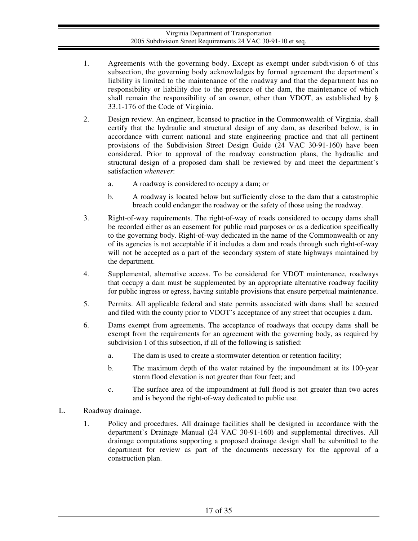- 1. Agreements with the governing body. Except as exempt under subdivision 6 of this subsection, the governing body acknowledges by formal agreement the department's liability is limited to the maintenance of the roadway and that the department has no responsibility or liability due to the presence of the dam, the maintenance of which shall remain the responsibility of an owner, other than VDOT, as established by § 33.1-176 of the Code of Virginia.
- 2. Design review. An engineer, licensed to practice in the Commonwealth of Virginia, shall certify that the hydraulic and structural design of any dam, as described below, is in accordance with current national and state engineering practice and that all pertinent provisions of the Subdivision Street Design Guide (24 VAC 30-91-160) have been considered. Prior to approval of the roadway construction plans, the hydraulic and structural design of a proposed dam shall be reviewed by and meet the department's satisfaction *whenever*:
	- a. A roadway is considered to occupy a dam; or
	- b. A roadway is located below but sufficiently close to the dam that a catastrophic breach could endanger the roadway or the safety of those using the roadway.
- 3. Right-of-way requirements. The right-of-way of roads considered to occupy dams shall be recorded either as an easement for public road purposes or as a dedication specifically to the governing body. Right-of-way dedicated in the name of the Commonwealth or any of its agencies is not acceptable if it includes a dam and roads through such right-of-way will not be accepted as a part of the secondary system of state highways maintained by the department.
- 4. Supplemental, alternative access. To be considered for VDOT maintenance, roadways that occupy a dam must be supplemented by an appropriate alternative roadway facility for public ingress or egress, having suitable provisions that ensure perpetual maintenance.
- 5. Permits. All applicable federal and state permits associated with dams shall be secured and filed with the county prior to VDOT's acceptance of any street that occupies a dam.
- 6. Dams exempt from agreements. The acceptance of roadways that occupy dams shall be exempt from the requirements for an agreement with the governing body, as required by subdivision 1 of this subsection, if all of the following is satisfied:
	- a. The dam is used to create a stormwater detention or retention facility;
	- b. The maximum depth of the water retained by the impoundment at its 100-year storm flood elevation is not greater than four feet; and
	- c. The surface area of the impoundment at full flood is not greater than two acres and is beyond the right-of-way dedicated to public use.
- L. Roadway drainage.
	- 1. Policy and procedures. All drainage facilities shall be designed in accordance with the department's Drainage Manual (24 VAC 30-91-160) and supplemental directives. All drainage computations supporting a proposed drainage design shall be submitted to the department for review as part of the documents necessary for the approval of a construction plan.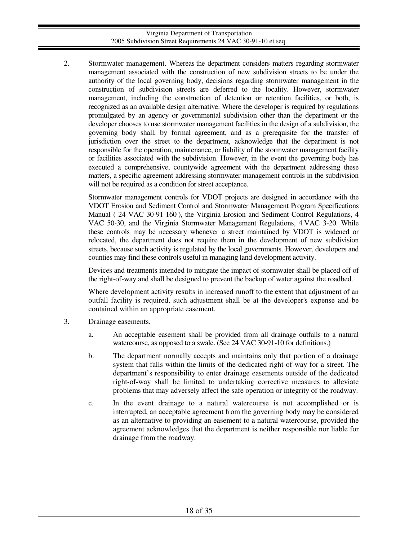2. Stormwater management. Whereas the department considers matters regarding stormwater management associated with the construction of new subdivision streets to be under the authority of the local governing body, decisions regarding stormwater management in the construction of subdivision streets are deferred to the locality. However, stormwater management, including the construction of detention or retention facilities, or both, is recognized as an available design alternative. Where the developer is required by regulations promulgated by an agency or governmental subdivision other than the department or the developer chooses to use stormwater management facilities in the design of a subdivision, the governing body shall, by formal agreement, and as a prerequisite for the transfer of jurisdiction over the street to the department, acknowledge that the department is not responsible for the operation, maintenance, or liability of the stormwater management facility or facilities associated with the subdivision. However, in the event the governing body has executed a comprehensive, countywide agreement with the department addressing these matters, a specific agreement addressing stormwater management controls in the subdivision will not be required as a condition for street acceptance.

Stormwater management controls for VDOT projects are designed in accordance with the VDOT Erosion and Sediment Control and Stormwater Management Program Specifications Manual ( 24 VAC 30-91-160 ), the Virginia Erosion and Sediment Control Regulations, 4 VAC 50-30, and the Virginia Stormwater Management Regulations, 4 VAC 3-20. While these controls may be necessary whenever a street maintained by VDOT is widened or relocated, the department does not require them in the development of new subdivision streets, because such activity is regulated by the local governments. However, developers and counties may find these controls useful in managing land development activity.

Devices and treatments intended to mitigate the impact of stormwater shall be placed off of the right-of-way and shall be designed to prevent the backup of water against the roadbed.

Where development activity results in increased runoff to the extent that adjustment of an outfall facility is required, such adjustment shall be at the developer's expense and be contained within an appropriate easement.

- 3. Drainage easements.
	- a. An acceptable easement shall be provided from all drainage outfalls to a natural watercourse, as opposed to a swale. (See 24 VAC 30-91-10 for definitions.)
	- b. The department normally accepts and maintains only that portion of a drainage system that falls within the limits of the dedicated right-of-way for a street. The department's responsibility to enter drainage easements outside of the dedicated right-of-way shall be limited to undertaking corrective measures to alleviate problems that may adversely affect the safe operation or integrity of the roadway.
	- c. In the event drainage to a natural watercourse is not accomplished or is interrupted, an acceptable agreement from the governing body may be considered as an alternative to providing an easement to a natural watercourse, provided the agreement acknowledges that the department is neither responsible nor liable for drainage from the roadway.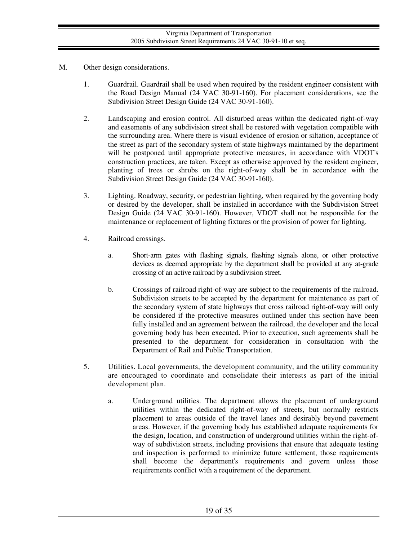- M. Other design considerations.
	- 1. Guardrail. Guardrail shall be used when required by the resident engineer consistent with the Road Design Manual (24 VAC 30-91-160). For placement considerations, see the Subdivision Street Design Guide (24 VAC 30-91-160).
	- 2. Landscaping and erosion control. All disturbed areas within the dedicated right-of-way and easements of any subdivision street shall be restored with vegetation compatible with the surrounding area. Where there is visual evidence of erosion or siltation, acceptance of the street as part of the secondary system of state highways maintained by the department will be postponed until appropriate protective measures, in accordance with VDOT's construction practices, are taken. Except as otherwise approved by the resident engineer, planting of trees or shrubs on the right-of-way shall be in accordance with the Subdivision Street Design Guide (24 VAC 30-91-160).
	- 3. Lighting. Roadway, security, or pedestrian lighting, when required by the governing body or desired by the developer, shall be installed in accordance with the Subdivision Street Design Guide (24 VAC 30-91-160). However, VDOT shall not be responsible for the maintenance or replacement of lighting fixtures or the provision of power for lighting.
	- 4. Railroad crossings.
		- a. Short-arm gates with flashing signals, flashing signals alone, or other protective devices as deemed appropriate by the department shall be provided at any at-grade crossing of an active railroad by a subdivision street.
		- b. Crossings of railroad right-of-way are subject to the requirements of the railroad. Subdivision streets to be accepted by the department for maintenance as part of the secondary system of state highways that cross railroad right-of-way will only be considered if the protective measures outlined under this section have been fully installed and an agreement between the railroad, the developer and the local governing body has been executed. Prior to execution, such agreements shall be presented to the department for consideration in consultation with the Department of Rail and Public Transportation.
	- 5. Utilities. Local governments, the development community, and the utility community are encouraged to coordinate and consolidate their interests as part of the initial development plan.
		- a. Underground utilities. The department allows the placement of underground utilities within the dedicated right-of-way of streets, but normally restricts placement to areas outside of the travel lanes and desirably beyond pavement areas. However, if the governing body has established adequate requirements for the design, location, and construction of underground utilities within the right-ofway of subdivision streets, including provisions that ensure that adequate testing and inspection is performed to minimize future settlement, those requirements shall become the department's requirements and govern unless those requirements conflict with a requirement of the department.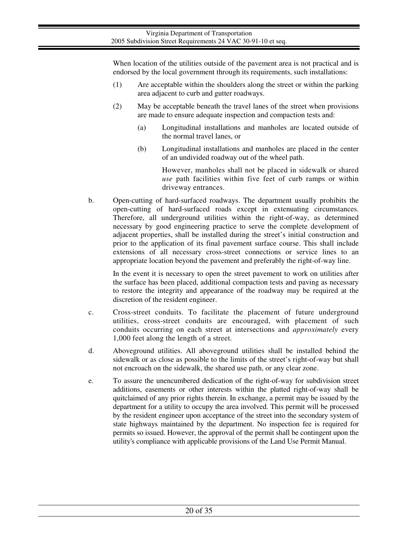When location of the utilities outside of the pavement area is not practical and is endorsed by the local government through its requirements, such installations:

- (1) Are acceptable within the shoulders along the street or within the parking area adjacent to curb and gutter roadways.
- (2) May be acceptable beneath the travel lanes of the street when provisions are made to ensure adequate inspection and compaction tests and:
	- (a) Longitudinal installations and manholes are located outside of the normal travel lanes, or
	- (b) Longitudinal installations and manholes are placed in the center of an undivided roadway out of the wheel path.

However, manholes shall not be placed in sidewalk or shared *use* path facilities within five feet of curb ramps or within driveway entrances.

b. Open-cutting of hard-surfaced roadways. The department usually prohibits the open-cutting of hard-surfaced roads except in extenuating circumstances. Therefore, all underground utilities within the right-of-way, as determined necessary by good engineering practice to serve the complete development of adjacent properties, shall be installed during the street's initial construction and prior to the application of its final pavement surface course. This shall include extensions of all necessary cross-street connections or service lines to an appropriate location beyond the pavement and preferably the right-of-way line.

In the event it is necessary to open the street pavement to work on utilities after the surface has been placed, additional compaction tests and paving as necessary to restore the integrity and appearance of the roadway may be required at the discretion of the resident engineer.

- c. Cross-street conduits. To facilitate the placement of future underground utilities, cross-street conduits are encouraged, with placement of such conduits occurring on each street at intersections and *approximately* every 1,000 feet along the length of a street.
- d. Aboveground utilities. All aboveground utilities shall be installed behind the sidewalk or as close as possible to the limits of the street's right-of-way but shall not encroach on the sidewalk, the shared use path, or any clear zone.
- e. To assure the unencumbered dedication of the right-of-way for subdivision street additions, easements or other interests within the platted right-of-way shall be quitclaimed of any prior rights therein. In exchange, a permit may be issued by the department for a utility to occupy the area involved. This permit will be processed by the resident engineer upon acceptance of the street into the secondary system of state highways maintained by the department. No inspection fee is required for permits so issued. However, the approval of the permit shall be contingent upon the utility's compliance with applicable provisions of the Land Use Permit Manual.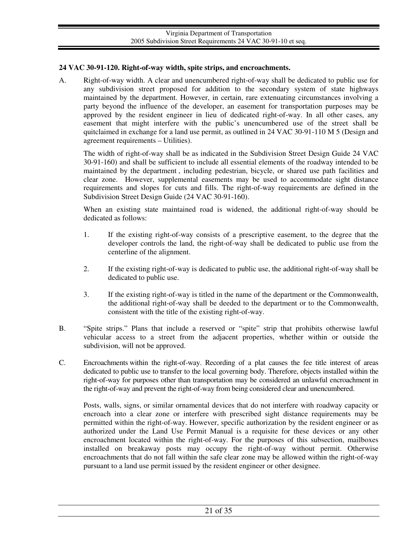## **24 VAC 30-91-120. Right-of-way width, spite strips, and encroachments.**

A. Right-of-way width. A clear and unencumbered right-of-way shall be dedicated to public use for any subdivision street proposed for addition to the secondary system of state highways maintained by the department. However, in certain, rare extenuating circumstances involving a party beyond the influence of the developer, an easement for transportation purposes may be approved by the resident engineer in lieu of dedicated right-of-way. In all other cases, any easement that might interfere with the public's unencumbered use of the street shall be quitclaimed in exchange for a land use permit, as outlined in 24 VAC 30-91-110 M 5 (Design and agreement requirements – Utilities).

The width of right-of-way shall be as indicated in the Subdivision Street Design Guide 24 VAC 30-91-160) and shall be sufficient to include all essential elements of the roadway intended to be maintained by the department , including pedestrian, bicycle, or shared use path facilities and clear zone. However, supplemental easements may be used to accommodate sight distance requirements and slopes for cuts and fills. The right-of-way requirements are defined in the Subdivision Street Design Guide (24 VAC 30-91-160).

When an existing state maintained road is widened, the additional right-of-way should be dedicated as follows:

- 1. If the existing right-of-way consists of a prescriptive easement, to the degree that the developer controls the land, the right-of-way shall be dedicated to public use from the centerline of the alignment.
- 2. If the existing right-of-way is dedicated to public use, the additional right-of-way shall be dedicated to public use.
- 3. If the existing right-of-way is titled in the name of the department or the Commonwealth, the additional right-of-way shall be deeded to the department or to the Commonwealth, consistent with the title of the existing right-of-way.
- B. "Spite strips." Plans that include a reserved or "spite" strip that prohibits otherwise lawful vehicular access to a street from the adjacent properties, whether within or outside the subdivision, will not be approved.
- C. Encroachments within the right-of-way. Recording of a plat causes the fee title interest of areas dedicated to public use to transfer to the local governing body. Therefore, objects installed within the right-of-way for purposes other than transportation may be considered an unlawful encroachment in the right-of-way and prevent the right-of-way from being considered clear and unencumbered.

Posts, walls, signs, or similar ornamental devices that do not interfere with roadway capacity or encroach into a clear zone or interfere with prescribed sight distance requirements may be permitted within the right-of-way. However, specific authorization by the resident engineer or as authorized under the Land Use Permit Manual is a requisite for these devices or any other encroachment located within the right-of-way. For the purposes of this subsection, mailboxes installed on breakaway posts may occupy the right-of-way without permit. Otherwise encroachments that do not fall within the safe clear zone may be allowed within the right-of-way pursuant to a land use permit issued by the resident engineer or other designee.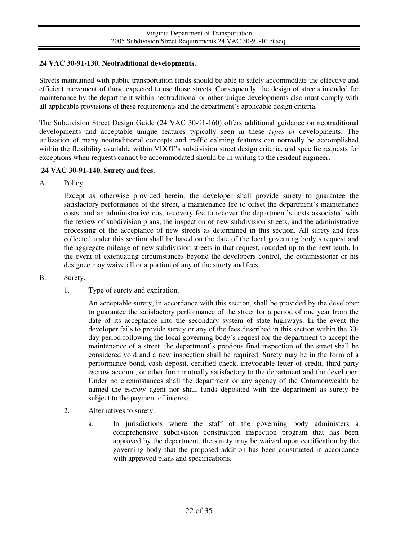## **24 VAC 30-91-130. Neotraditional developments.**

Streets maintained with public transportation funds should be able to safely accommodate the effective and efficient movement of those expected to use those streets. Consequently, the design of streets intended for maintenance by the department within neotraditional or other unique developments also must comply with all applicable provisions of these requirements and the department's applicable design criteria.

The Subdivision Street Design Guide (24 VAC 30-91-160) offers additional guidance on neotraditional developments and acceptable unique features typically seen in these *types of* developments. The utilization of many neotraditional concepts and traffic calming features can normally be accomplished within the flexibility available within VDOT's subdivision street design criteria, and specific requests for exceptions when requests cannot be accommodated should be in writing to the resident engineer.

### **24 VAC 30-91-140. Surety and fees.**

A. Policy.

Except as otherwise provided herein, the developer shall provide surety to guarantee the satisfactory performance of the street, a maintenance fee to offset the department's maintenance costs, and an administrative cost recovery fee to recover the department's costs associated with the review of subdivision plans, the inspection of new subdivision streets, and the administrative processing of the acceptance of new streets as determined in this section. All surety and fees collected under this section shall be based on the date of the local governing body's request and the aggregate mileage of new subdivision streets in that request, rounded up to the next tenth. In the event of extenuating circumstances beyond the developers control, the commissioner or his designee may waive all or a portion of any of the surety and fees.

- B. Surety.
	- 1. Type of surety and expiration.

An acceptable surety, in accordance with this section, shall be provided by the developer to guarantee the satisfactory performance of the street for a period of one year from the date of its acceptance into the secondary system of state highways. In the event the developer fails to provide surety or any of the fees described in this section within the 30 day period following the local governing body's request for the department to accept the maintenance of a street, the department's previous final inspection of the street shall be considered void and a new inspection shall be required. Surety may be in the form of a performance bond, cash deposit, certified check, irrevocable letter of credit, third party escrow account, or other form mutually satisfactory to the department and the developer. Under no circumstances shall the department or any agency of the Commonwealth be named the escrow agent nor shall funds deposited with the department as surety be subject to the payment of interest.

- 2. Alternatives to surety.
	- a. In jurisdictions where the staff of the governing body administers a comprehensive subdivision construction inspection program that has been approved by the department, the surety may be waived upon certification by the governing body that the proposed addition has been constructed in accordance with approved plans and specifications.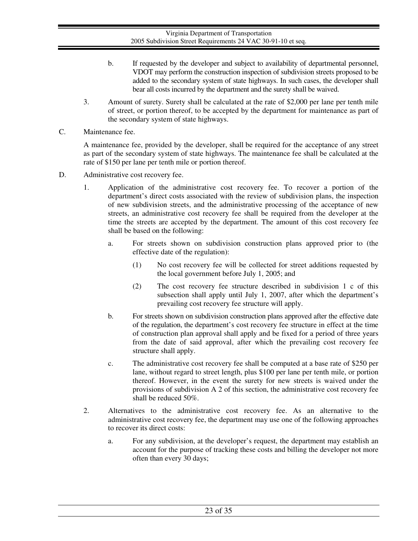- b. If requested by the developer and subject to availability of departmental personnel, VDOT may perform the construction inspection of subdivision streets proposed to be added to the secondary system of state highways. In such cases, the developer shall bear all costs incurred by the department and the surety shall be waived.
- 3. Amount of surety. Surety shall be calculated at the rate of \$2,000 per lane per tenth mile of street, or portion thereof, to be accepted by the department for maintenance as part of the secondary system of state highways.
- C. Maintenance fee.

A maintenance fee, provided by the developer, shall be required for the acceptance of any street as part of the secondary system of state highways. The maintenance fee shall be calculated at the rate of \$150 per lane per tenth mile or portion thereof.

- D. Administrative cost recovery fee.
	- 1. Application of the administrative cost recovery fee. To recover a portion of the department's direct costs associated with the review of subdivision plans, the inspection of new subdivision streets, and the administrative processing of the acceptance of new streets, an administrative cost recovery fee shall be required from the developer at the time the streets are accepted by the department. The amount of this cost recovery fee shall be based on the following:
		- a. For streets shown on subdivision construction plans approved prior to (the effective date of the regulation):
			- (1) No cost recovery fee will be collected for street additions requested by the local government before July 1, 2005; and
			- (2) The cost recovery fee structure described in subdivision 1 c of this subsection shall apply until July 1, 2007, after which the department's prevailing cost recovery fee structure will apply.
		- b. For streets shown on subdivision construction plans approved after the effective date of the regulation, the department's cost recovery fee structure in effect at the time of construction plan approval shall apply and be fixed for a period of three years from the date of said approval, after which the prevailing cost recovery fee structure shall apply.
		- c. The administrative cost recovery fee shall be computed at a base rate of \$250 per lane, without regard to street length, plus \$100 per lane per tenth mile, or portion thereof. However, in the event the surety for new streets is waived under the provisions of subdivision A 2 of this section, the administrative cost recovery fee shall be reduced 50%.
	- 2. Alternatives to the administrative cost recovery fee. As an alternative to the administrative cost recovery fee, the department may use one of the following approaches to recover its direct costs:
		- a. For any subdivision, at the developer's request, the department may establish an account for the purpose of tracking these costs and billing the developer not more often than every 30 days;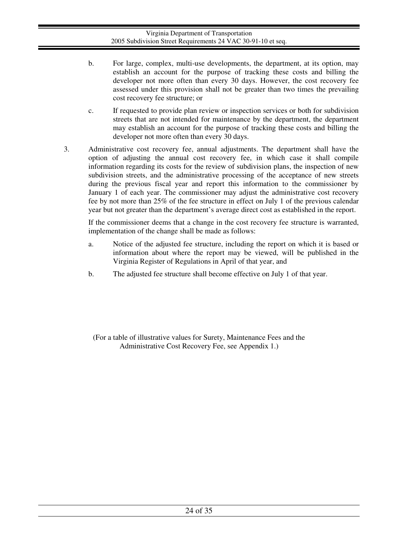- b. For large, complex, multi-use developments, the department, at its option, may establish an account for the purpose of tracking these costs and billing the developer not more often than every 30 days. However, the cost recovery fee assessed under this provision shall not be greater than two times the prevailing cost recovery fee structure; or
- c. If requested to provide plan review or inspection services or both for subdivision streets that are not intended for maintenance by the department, the department may establish an account for the purpose of tracking these costs and billing the developer not more often than every 30 days.
- 3. Administrative cost recovery fee, annual adjustments. The department shall have the option of adjusting the annual cost recovery fee, in which case it shall compile information regarding its costs for the review of subdivision plans, the inspection of new subdivision streets, and the administrative processing of the acceptance of new streets during the previous fiscal year and report this information to the commissioner by January 1 of each year. The commissioner may adjust the administrative cost recovery fee by not more than 25% of the fee structure in effect on July 1 of the previous calendar year but not greater than the department's average direct cost as established in the report.

If the commissioner deems that a change in the cost recovery fee structure is warranted, implementation of the change shall be made as follows:

- a. Notice of the adjusted fee structure, including the report on which it is based or information about where the report may be viewed, will be published in the Virginia Register of Regulations in April of that year, and
- b. The adjusted fee structure shall become effective on July 1 of that year.

(For a table of illustrative values for Surety, Maintenance Fees and the Administrative Cost Recovery Fee, see Appendix 1.)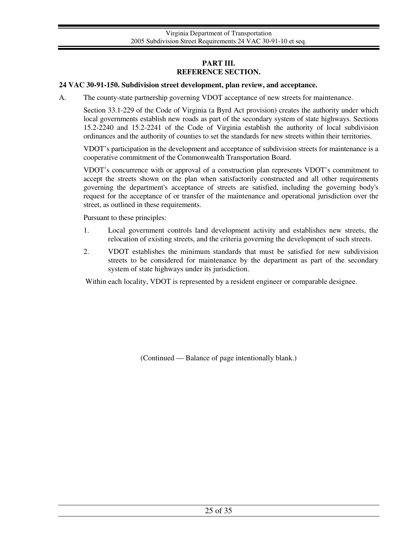## **PART III. REFERENCE SECTION.**

#### **24 VAC 30-91-150. Subdivision street development, plan review, and acceptance.**

A. The county-state partnership governing VDOT acceptance of new streets for maintenance.

Section 33.1-229 of the Code of Virginia (a Byrd Act provision) creates the authority under which local governments establish new roads as part of the secondary system of state highways. Sections 15.2-2240 and 15.2-2241 of the Code of Virginia establish the authority of local subdivision ordinances and the authority of counties to set the standards for new streets within their territories.

VDOT's participation in the development and acceptance of subdivision streets for maintenance is a cooperative commitment of the Commonwealth Transportation Board.

VDOT's concurrence with or approval of a construction plan represents VDOT's commitment to accept the streets shown on the plan when satisfactorily constructed and all other requirements governing the department's acceptance of streets are satisfied, including the governing body's request for the acceptance of or transfer of the maintenance and operational jurisdiction over the street, as outlined in these requirements.

Pursuant to these principles:

- 1. Local government controls land development activity and establishes new streets, the relocation of existing streets, and the criteria governing the development of such streets.
- 2. VDOT establishes the minimum standards that must be satisfied for new subdivision streets to be considered for maintenance by the department as part of the secondary system of state highways under its jurisdiction.

Within each locality, VDOT is represented by a resident engineer or comparable designee.

(Continued — Balance of page intentionally blank.)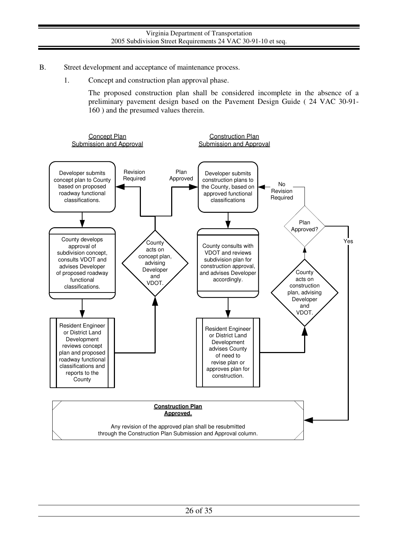- B. Street development and acceptance of maintenance process.
	- 1. Concept and construction plan approval phase.

The proposed construction plan shall be considered incomplete in the absence of a preliminary pavement design based on the Pavement Design Guide ( 24 VAC 30-91- 160 ) and the presumed values therein.

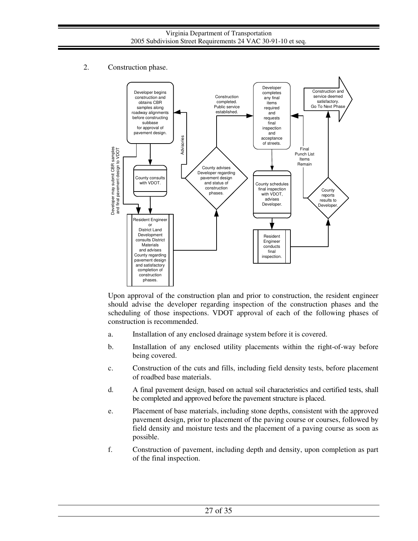2. Construction phase.



Upon approval of the construction plan and prior to construction, the resident engineer should advise the developer regarding inspection of the construction phases and the scheduling of those inspections. VDOT approval of each of the following phases of construction is recommended.

- a. Installation of any enclosed drainage system before it is covered.
- b. Installation of any enclosed utility placements within the right-of-way before being covered.
- c. Construction of the cuts and fills, including field density tests, before placement of roadbed base materials.
- d. A final pavement design, based on actual soil characteristics and certified tests, shall be completed and approved before the pavement structure is placed.
- e. Placement of base materials, including stone depths, consistent with the approved pavement design, prior to placement of the paving course or courses, followed by field density and moisture tests and the placement of a paving course as soon as possible.
- f. Construction of pavement, including depth and density, upon completion as part of the final inspection.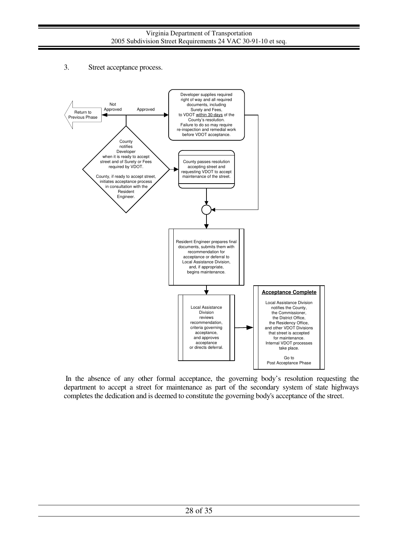3. Street acceptance process.



 In the absence of any other formal acceptance, the governing body's resolution requesting the department to accept a street for maintenance as part of the secondary system of state highways completes the dedication and is deemed to constitute the governing body's acceptance of the street.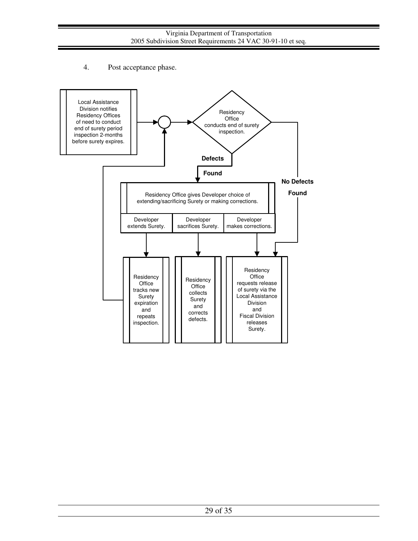# 4. Post acceptance phase.

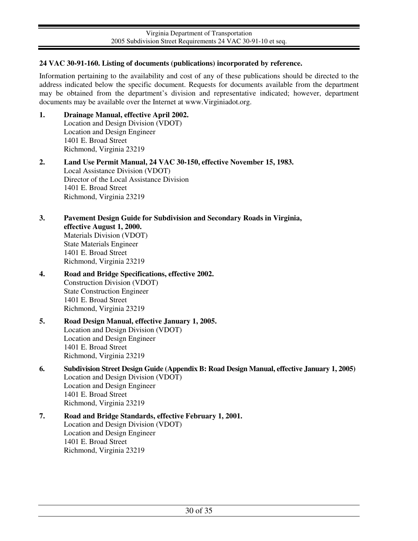## **24 VAC 30-91-160. Listing of documents (publications) incorporated by reference.**

Information pertaining to the availability and cost of any of these publications should be directed to the address indicated below the specific document. Requests for documents available from the department may be obtained from the department's division and representative indicated; however, department documents may be available over the Internet at www.Virginiadot.org.

- **1. Drainage Manual, effective April 2002.**  Location and Design Division (VDOT) Location and Design Engineer 1401 E. Broad Street Richmond, Virginia 23219
- **2. Land Use Permit Manual, 24 VAC 30-150, effective November 15, 1983.**  Local Assistance Division (VDOT) Director of the Local Assistance Division 1401 E. Broad Street Richmond, Virginia 23219
- **3. Pavement Design Guide for Subdivision and Secondary Roads in Virginia, effective August 1, 2000.**  Materials Division (VDOT) State Materials Engineer 1401 E. Broad Street Richmond, Virginia 23219
- **4. Road and Bridge Specifications, effective 2002.**  Construction Division (VDOT) State Construction Engineer 1401 E. Broad Street Richmond, Virginia 23219
- **5. Road Design Manual, effective January 1, 2005.**  Location and Design Division (VDOT) Location and Design Engineer 1401 E. Broad Street Richmond, Virginia 23219
- **6. Subdivision Street Design Guide (Appendix B: Road Design Manual, effective January 1, 2005)**  Location and Design Division (VDOT) Location and Design Engineer 1401 E. Broad Street Richmond, Virginia 23219
- **7. Road and Bridge Standards, effective February 1, 2001.**  Location and Design Division (VDOT) Location and Design Engineer 1401 E. Broad Street Richmond, Virginia 23219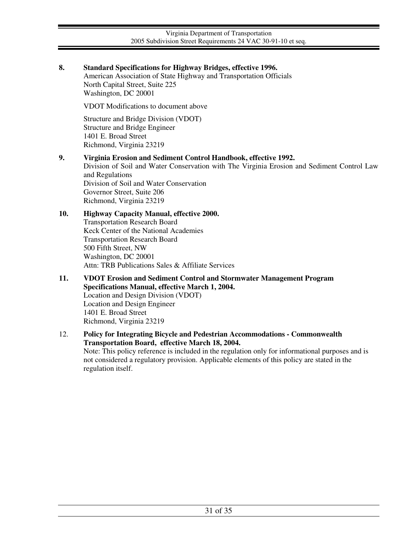# **8. Standard Specifications for Highway Bridges, effective 1996.**

American Association of State Highway and Transportation Officials North Capital Street, Suite 225 Washington, DC 20001

VDOT Modifications to document above

Structure and Bridge Division (VDOT) Structure and Bridge Engineer 1401 E. Broad Street Richmond, Virginia 23219

#### **9. Virginia Erosion and Sediment Control Handbook, effective 1992.**

Division of Soil and Water Conservation with The Virginia Erosion and Sediment Control Law and Regulations Division of Soil and Water Conservation Governor Street, Suite 206 Richmond, Virginia 23219

### **10. Highway Capacity Manual, effective 2000.**

Transportation Research Board Keck Center of the National Academies Transportation Research Board 500 Fifth Street, NW Washington, DC 20001 Attn: TRB Publications Sales & Affiliate Services

**11. VDOT Erosion and Sediment Control and Stormwater Management Program Specifications Manual, effective March 1, 2004.**  Location and Design Division (VDOT) Location and Design Engineer 1401 E. Broad Street Richmond, Virginia 23219

### 12. **Policy for Integrating Bicycle and Pedestrian Accommodations - Commonwealth Transportation Board, effective March 18, 2004.** Note: This policy reference is included in the regulation only for informational purposes and is not considered a regulatory provision. Applicable elements of this policy are stated in the

regulation itself.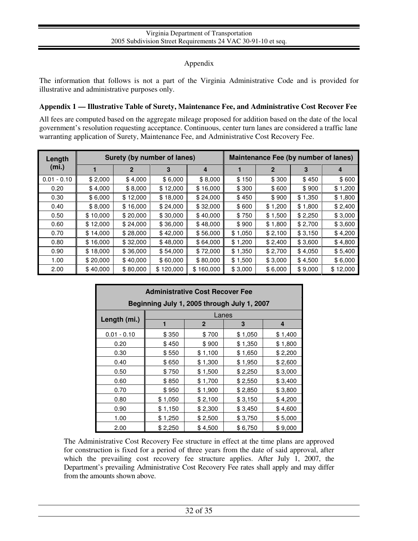## Appendix

The information that follows is not a part of the Virginia Administrative Code and is provided for illustrative and administrative purposes only.

## **Appendix 1 — Illustrative Table of Surety, Maintenance Fee, and Administrative Cost Recover Fee**

All fees are computed based on the aggregate mileage proposed for addition based on the date of the local government's resolution requesting acceptance. Continuous, center turn lanes are considered a traffic lane warranting application of Surety, Maintenance Fee, and Administrative Cost Recovery Fee.

| Length<br>(m <sub>i</sub> ) | Surety (by number of lanes) |          |           | Maintenance Fee (by number of lanes) |         |             |         |          |
|-----------------------------|-----------------------------|----------|-----------|--------------------------------------|---------|-------------|---------|----------|
|                             |                             | 2        | 3         | 4                                    |         | $\mathbf 2$ | 3       | 4        |
| $0.01 - 0.10$               | \$2,000                     | \$4,000  | \$6,000   | \$8,000                              | \$150   | \$300       | \$450   | \$600    |
| 0.20                        | \$4,000                     | \$8,000  | \$12,000  | \$16,000                             | \$300   | \$600       | \$900   | \$1,200  |
| 0.30                        | \$6,000                     | \$12,000 | \$18,000  | \$24,000                             | \$450   | \$900       | \$1,350 | \$1,800  |
| 0.40                        | \$8,000                     | \$16,000 | \$24,000  | \$32,000                             | \$600   | \$1,200     | \$1,800 | \$2,400  |
| 0.50                        | \$10,000                    | \$20,000 | \$30,000  | \$40,000                             | \$750   | \$1,500     | \$2,250 | \$3,000  |
| 0.60                        | \$12,000                    | \$24,000 | \$36,000  | \$48,000                             | \$900   | \$1,800     | \$2,700 | \$3,600  |
| 0.70                        | \$14,000                    | \$28,000 | \$42,000  | \$56,000                             | \$1,050 | \$2,100     | \$3,150 | \$4,200  |
| 0.80                        | \$16,000                    | \$32,000 | \$48,000  | \$64,000                             | \$1,200 | \$2,400     | \$3,600 | \$4,800  |
| 0.90                        | \$18,000                    | \$36,000 | \$54,000  | \$72,000                             | \$1,350 | \$2,700     | \$4,050 | \$5,400  |
| 1.00                        | \$20,000                    | \$40,000 | \$60,000  | \$80,000                             | \$1,500 | \$3,000     | \$4,500 | \$6,000  |
| 2.00                        | \$40,000                    | \$80,000 | \$120,000 | \$160,000                            | \$3,000 | \$6,000     | \$9,000 | \$12,000 |

| <b>Administrative Cost Recover Fee</b>      |         |              |         |         |  |  |
|---------------------------------------------|---------|--------------|---------|---------|--|--|
| Beginning July 1, 2005 through July 1, 2007 |         |              |         |         |  |  |
|                                             | Lanes   |              |         |         |  |  |
| Length (mi.)                                | 1       | $\mathbf{2}$ | 3       | 4       |  |  |
| $0.01 - 0.10$                               | \$350   | \$700        | \$1,050 | \$1,400 |  |  |
| 0.20                                        | \$450   | \$900        | \$1,350 | \$1,800 |  |  |
| 0.30                                        | \$550   | \$1,100      | \$1,650 | \$2,200 |  |  |
| 0.40                                        | \$650   | \$1,300      | \$1,950 | \$2,600 |  |  |
| 0.50                                        | \$750   | \$1,500      | \$2,250 | \$3,000 |  |  |
| 0.60                                        | \$850   | \$1,700      | \$2,550 | \$3,400 |  |  |
| 0.70                                        | \$950   | \$1,900      | \$2,850 | \$3,800 |  |  |
| 0.80                                        | \$1,050 | \$2,100      | \$3,150 | \$4,200 |  |  |
| 0.90                                        | \$1,150 | \$2,300      | \$3,450 | \$4,600 |  |  |
| 1.00                                        | \$1,250 | \$2,500      | \$3,750 | \$5,000 |  |  |
| 2.00                                        | \$2,250 | \$4,500      | \$6,750 | \$9,000 |  |  |

The Administrative Cost Recovery Fee structure in effect at the time plans are approved for construction is fixed for a period of three years from the date of said approval, after which the prevailing cost recovery fee structure applies. After July 1, 2007, the Department's prevailing Administrative Cost Recovery Fee rates shall apply and may differ from the amounts shown above.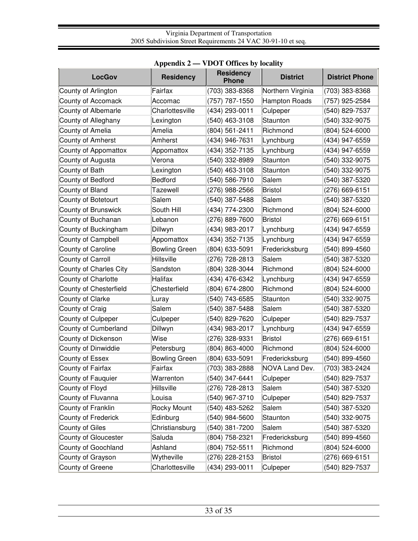|                         | лррения 2            | TDO I OHRES BY REGILY            |                   |                       |
|-------------------------|----------------------|----------------------------------|-------------------|-----------------------|
| <b>LocGov</b>           | <b>Residency</b>     | <b>Residency</b><br><b>Phone</b> | <b>District</b>   | <b>District Phone</b> |
| County of Arlington     | Fairfax              | (703) 383-8368                   | Northern Virginia | (703) 383-8368        |
| County of Accomack      | Accomac              | (757) 787-1550                   | Hampton Roads     | (757) 925-2584        |
| County of Albemarle     | Charlottesville      | (434) 293-0011                   | Culpeper          | (540) 829-7537        |
| County of Alleghany     | Lexington            | (540) 463-3108                   | Staunton          | (540) 332-9075        |
| County of Amelia        | Amelia               | (804) 561-2411                   | Richmond          | (804) 524-6000        |
| County of Amherst       | Amherst              | (434) 946-7631                   | Lynchburg         | (434) 947-6559        |
| County of Appomattox    | Appomattox           | (434) 352-7135                   | Lynchburg         | (434) 947-6559        |
| County of Augusta       | Verona               | (540) 332-8989                   | Staunton          | (540) 332-9075        |
| County of Bath          | Lexington            | (540) 463-3108                   | Staunton          | (540) 332-9075        |
| County of Bedford       | Bedford              | (540) 586-7910                   | Salem             | (540) 387-5320        |
| County of Bland         | <b>Tazewell</b>      | (276) 988-2566                   | Bristol           | (276) 669-6151        |
| County of Botetourt     | Salem                | (540) 387-5488                   | Salem             | (540) 387-5320        |
| County of Brunswick     | South Hill           | (434) 774-2300                   | Richmond          | (804) 524-6000        |
| County of Buchanan      | Lebanon              | (276) 889-7600                   | Bristol           | (276) 669-6151        |
| County of Buckingham    | Dillwyn              | (434) 983-2017                   | Lynchburg         | (434) 947-6559        |
| County of Campbell      | Appomattox           | (434) 352-7135                   | Lynchburg         | (434) 947-6559        |
| County of Caroline      | <b>Bowling Green</b> | (804) 633-5091                   | Fredericksburg    | (540) 899-4560        |
| County of Carroll       | Hillsville           | (276) 728-2813                   | Salem             | (540) 387-5320        |
| County of Charles City  | Sandston             | (804) 328-3044                   | Richmond          | (804) 524-6000        |
| County of Charlotte     | Halifax              | (434) 476-6342                   | Lynchburg         | (434) 947-6559        |
| County of Chesterfield  | Chesterfield         | (804) 674-2800                   | Richmond          | (804) 524-6000        |
| <b>County of Clarke</b> | Luray                | (540) 743-6585                   | Staunton          | (540) 332-9075        |
| County of Craig         | Salem                | (540) 387-5488                   | Salem             | (540) 387-5320        |
| County of Culpeper      | Culpeper             | (540) 829-7620                   | Culpeper          | (540) 829-7537        |
| County of Cumberland    | Dillwyn              | (434) 983-2017                   | Lynchburg         | (434) 947-6559        |
| County of Dickenson     | Wise                 | (276) 328-9331                   | Bristol           | (276) 669-6151        |
| County of Dinwiddie     | Petersburg           | (804) 863-4000                   | Richmond          | (804) 524-6000        |
| County of Essex         | <b>Bowling Green</b> | (804) 633-5091                   | Fredericksburg    | (540) 899-4560        |
| County of Fairfax       | Fairfax              | (703) 383-2888                   | NOVA Land Dev.    | (703) 383-2424        |
| County of Fauquier      | Warrenton            | (540) 347-6441                   | Culpeper          | (540) 829-7537        |
| County of Floyd         | Hillsville           | (276) 728-2813                   | Salem             | (540) 387-5320        |
| County of Fluvanna      | Louisa               | (540) 967-3710                   | Culpeper          | (540) 829-7537        |
| County of Franklin      | Rocky Mount          | (540) 483-5262                   | Salem             | (540) 387-5320        |
| County of Frederick     | Edinburg             | (540) 984-5600                   | Staunton          | (540) 332-9075        |
| <b>County of Giles</b>  | Christiansburg       | (540) 381-7200                   | Salem             | (540) 387-5320        |
| County of Gloucester    | Saluda               | (804) 758-2321                   | Fredericksburg    | (540) 899-4560        |
| County of Goochland     | Ashland              | (804) 752-5511                   | Richmond          | (804) 524-6000        |
| County of Grayson       | Wytheville           | (276) 228-2153                   | Bristol           | (276) 669-6151        |
| County of Greene        | Charlottesville      | (434) 293-0011                   | Culpeper          | (540) 829-7537        |

# **Appendix 2 — VDOT Offices by locality**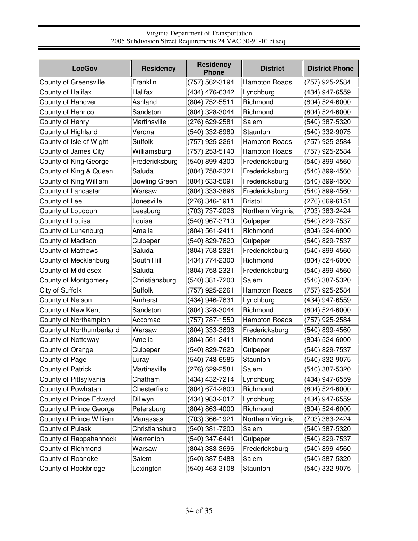| <b>LocGov</b>              | <b>Residency</b>     | <b>Residency</b><br><b>Phone</b> | <b>District</b>      | <b>District Phone</b> |
|----------------------------|----------------------|----------------------------------|----------------------|-----------------------|
| County of Greensville      | Franklin             | (757) 562-3194                   | <b>Hampton Roads</b> | (757) 925-2584        |
| County of Halifax          | Halifax              | (434) 476-6342                   | Lynchburg            | (434) 947-6559        |
| County of Hanover          | Ashland              | (804) 752-5511                   | Richmond             | (804) 524-6000        |
| County of Henrico          | Sandston             | (804) 328-3044                   | Richmond             | (804) 524-6000        |
| County of Henry            | Martinsville         | (276) 629-2581                   | Salem                | (540) 387-5320        |
| County of Highland         | Verona               | (540) 332-8989                   | Staunton             | (540) 332-9075        |
| County of Isle of Wight    | <b>Suffolk</b>       | (757) 925-2261                   | Hampton Roads        | (757) 925-2584        |
| County of James City       | Williamsburg         | (757) 253-5140                   | <b>Hampton Roads</b> | (757) 925-2584        |
| County of King George      | Fredericksburg       | (540) 899-4300                   | Fredericksburg       | (540) 899-4560        |
| County of King & Queen     | Saluda               | (804) 758-2321                   | Fredericksburg       | (540) 899-4560        |
| County of King William     | <b>Bowling Green</b> | (804) 633-5091                   | Fredericksburg       | (540) 899-4560        |
| County of Lancaster        | Warsaw               | (804) 333-3696                   | Fredericksburg       | (540) 899-4560        |
| County of Lee              | Jonesville           | (276) 346-1911                   | <b>Bristol</b>       | (276) 669-6151        |
| County of Loudoun          | Leesburg             | (703) 737-2026                   | Northern Virginia    | (703) 383-2424        |
| County of Louisa           | Louisa               | (540) 967-3710                   | Culpeper             | (540) 829-7537        |
| County of Lunenburg        | Amelia               | (804) 561-2411                   | Richmond             | (804) 524-6000        |
| County of Madison          | Culpeper             | (540) 829-7620                   | Culpeper             | (540) 829-7537        |
| <b>County of Mathews</b>   | Saluda               | (804) 758-2321                   | Fredericksburg       | (540) 899-4560        |
| County of Mecklenburg      | South Hill           | (434) 774-2300                   | Richmond             | (804) 524-6000        |
| <b>County of Middlesex</b> | Saluda               | (804) 758-2321                   | Fredericksburg       | (540) 899-4560        |
| County of Montgomery       | Christiansburg       | (540) 381-7200                   | Salem                | (540) 387-5320        |
| City of Suffolk            | <b>Suffolk</b>       | (757) 925-2261                   | <b>Hampton Roads</b> | (757) 925-2584        |
| County of Nelson           | Amherst              | (434) 946-7631                   | Lynchburg            | (434) 947-6559        |
| County of New Kent         | Sandston             | (804) 328-3044                   | Richmond             | (804) 524-6000        |
| County of Northampton      | Accomac              | (757) 787-1550                   | <b>Hampton Roads</b> | (757) 925-2584        |
| County of Northumberland   | Warsaw               | (804) 333-3696                   | Fredericksburg       | (540) 899-4560        |
| County of Nottoway         | Amelia               | (804) 561-2411                   | Richmond             | (804) 524-6000        |
| County of Orange           | Culpeper             | (540) 829-7620                   | Culpeper             | (540) 829-7537        |
| County of Page             | Luray                | (540) 743-6585                   | Staunton             | (540) 332-9075        |
| County of Patrick          | Martinsville         | (276) 629-2581                   | Salem                | (540) 387-5320        |
| County of Pittsylvania     | Chatham              | (434) 432-7214                   | Lynchburg            | (434) 947-6559        |
| County of Powhatan         | Chesterfield         | (804) 674-2800                   | Richmond             | (804) 524-6000        |
| County of Prince Edward    | Dillwyn              | (434) 983-2017                   | Lynchburg            | (434) 947-6559        |
| County of Prince George    | Petersburg           | (804) 863-4000                   | Richmond             | (804) 524-6000        |
| County of Prince William   | Manassas             | (703) 366-1921                   | Northern Virginia    | (703) 383-2424        |
| County of Pulaski          | Christiansburg       | (540) 381-7200                   | Salem                | (540) 387-5320        |
| County of Rappahannock     | Warrenton            | (540) 347-6441                   | Culpeper             | (540) 829-7537        |
| County of Richmond         | Warsaw               | (804) 333-3696                   | Fredericksburg       | (540) 899-4560        |
| County of Roanoke          | Salem                | (540) 387-5488                   | Salem                | (540) 387-5320        |
| County of Rockbridge       | Lexington            | (540) 463-3108                   | Staunton             | (540) 332-9075        |